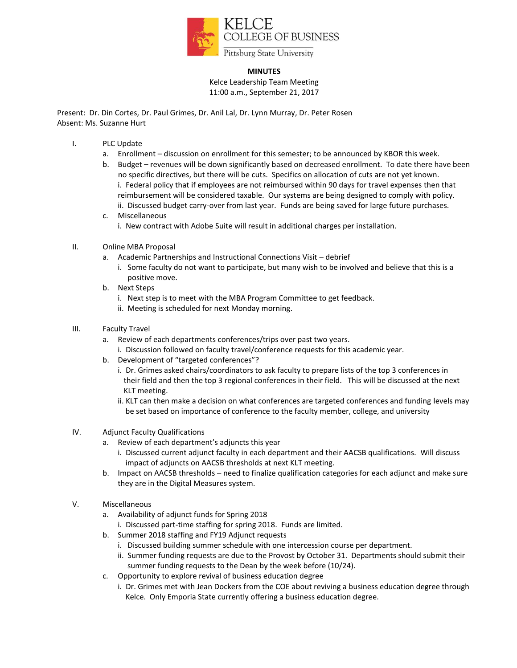

## **MINUTES**

Kelce Leadership Team Meeting 11:00 a.m., September 21, 2017

Present: Dr. Din Cortes, Dr. Paul Grimes, Dr. Anil Lal, Dr. Lynn Murray, Dr. Peter Rosen Absent: Ms. Suzanne Hurt

- I. PLC Update
	- a. Enrollment discussion on enrollment for this semester; to be announced by KBOR this week.
	- b. Budget revenues will be down significantly based on decreased enrollment. To date there have been no specific directives, but there will be cuts. Specifics on allocation of cuts are not yet known. i. Federal policy that if employees are not reimbursed within 90 days for travel expenses then that reimbursement will be considered taxable. Our systems are being designed to comply with policy. ii. Discussed budget carry-over from last year. Funds are being saved for large future purchases.
	- c. Miscellaneous
		- i. New contract with Adobe Suite will result in additional charges per installation.
- II. Online MBA Proposal
	- a. Academic Partnerships and Instructional Connections Visit debrief
		- i. Some faculty do not want to participate, but many wish to be involved and believe that this is a positive move.
	- b. Next Steps
		- i. Next step is to meet with the MBA Program Committee to get feedback.
		- ii. Meeting is scheduled for next Monday morning.
- III. Faculty Travel
	- a. Review of each departments conferences/trips over past two years.
		- i. Discussion followed on faculty travel/conference requests for this academic year.
	- b. Development of "targeted conferences"?
		- i. Dr. Grimes asked chairs/coordinators to ask faculty to prepare lists of the top 3 conferences in their field and then the top 3 regional conferences in their field. This will be discussed at the next KLT meeting.
		- ii. KLT can then make a decision on what conferences are targeted conferences and funding levels may be set based on importance of conference to the faculty member, college, and university
- IV. Adjunct Faculty Qualifications
	- a. Review of each department's adjuncts this year
		- i. Discussed current adjunct faculty in each department and their AACSB qualifications. Will discuss impact of adjuncts on AACSB thresholds at next KLT meeting.
	- b. Impact on AACSB thresholds need to finalize qualification categories for each adjunct and make sure they are in the Digital Measures system.
- V. Miscellaneous
	- a. Availability of adjunct funds for Spring 2018
		- i. Discussed part-time staffing for spring 2018. Funds are limited.
	- b. Summer 2018 staffing and FY19 Adjunct requests
		- i. Discussed building summer schedule with one intercession course per department.
		- ii. Summer funding requests are due to the Provost by October 31. Departments should submit their summer funding requests to the Dean by the week before (10/24).
	- c. Opportunity to explore revival of business education degree
		- i. Dr. Grimes met with Jean Dockers from the COE about reviving a business education degree through Kelce. Only Emporia State currently offering a business education degree.